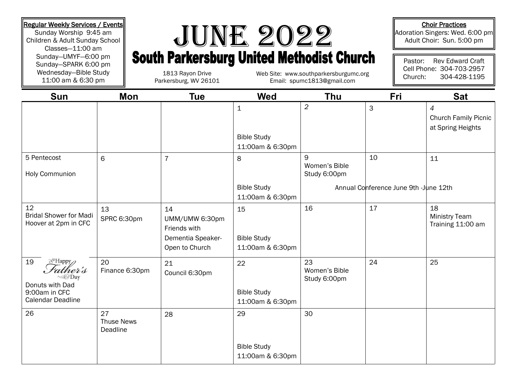Sunday Worship 9:45 am Children & Adult Sunday School Classes—11:00 am Sunday—UMYF—6:00 pm Sunday—SPARK 6:00 pm Wednesday—Bible Study 11:00 am & 6:30 pm

## Regular Weekly Services / Events<br>
Sunday Worship 9:45 am<br>
Children & Adult Sunday School<br>
Sunday-UMYF-6:00 pm<br>
Signday-SPARK 6:00 pm<br>
South Parkersburg United Methodist Church

1813 Rayon Drive Parkersburg, WV 26101

Email: spumc1813@gmail.com

## Choir Practices

Adoration Singers: Wed. 6:00 pm Adult Choir: Sun. 5:00 pm

Pastor: Rev Edward Craft Cell Phone: 304-703-2957 Web Site: www.southparkersburgumc.org  $\parallel$  Church: 304-428-1195

| <b>Sun</b>                                                                                                 | Mon                                 | <b>Tue</b>                                                                  | Wed                                                   | Thu                                 | Fri                                   | <b>Sat</b>                                                         |
|------------------------------------------------------------------------------------------------------------|-------------------------------------|-----------------------------------------------------------------------------|-------------------------------------------------------|-------------------------------------|---------------------------------------|--------------------------------------------------------------------|
|                                                                                                            |                                     |                                                                             | $\mathbf 1$<br><b>Bible Study</b><br>11:00am & 6:30pm | $\overline{2}$                      | 3                                     | $\overline{4}$<br><b>Church Family Picnic</b><br>at Spring Heights |
| 5 Pentecost<br><b>Holy Communion</b>                                                                       | 6                                   | $\overline{7}$                                                              | 8                                                     | 9<br>Women's Bible<br>Study 6:00pm  | 10                                    | 11                                                                 |
|                                                                                                            |                                     |                                                                             | <b>Bible Study</b><br>11:00am & 6:30pm                |                                     | Annual Conference June 9th -June 12th |                                                                    |
| 12<br><b>Bridal Shower for Madi</b><br>Hoover at 2pm in CFC                                                | 13<br>SPRC 6:30pm                   | 14<br>UMM/UMW 6:30pm<br>Friends with<br>Dementia Speaker-<br>Open to Church | 15<br><b>Bible Study</b><br>11:00am & 6:30pm          | 16                                  | 17                                    | 18<br><b>Ministry Team</b><br>Training 11:00 am                    |
| a <sup>®</sup> Happy <sub></sub><br>19<br>ather's<br>Donuts with Dad<br>9:00am in CFC<br>Calendar Deadline | 20<br>Finance 6:30pm                | 21<br>Council 6:30pm                                                        | 22<br><b>Bible Study</b><br>11:00am & 6:30pm          | 23<br>Women's Bible<br>Study 6:00pm | 24                                    | 25                                                                 |
| 26                                                                                                         | 27<br><b>Thuse News</b><br>Deadline | 28                                                                          | 29                                                    | 30                                  |                                       |                                                                    |
|                                                                                                            |                                     |                                                                             | <b>Bible Study</b><br>11:00am & 6:30pm                |                                     |                                       |                                                                    |